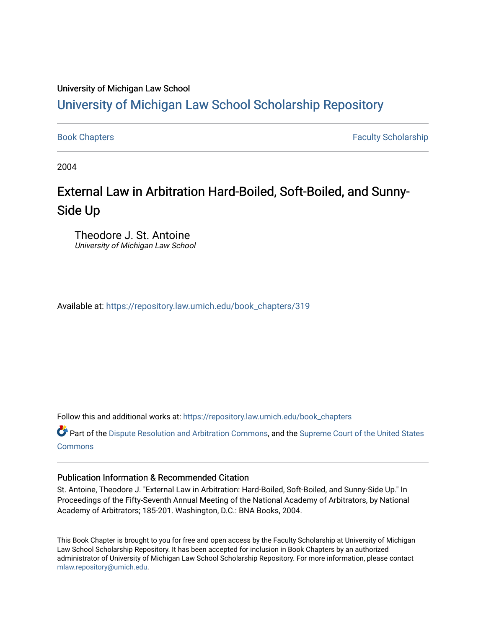# University of Michigan Law School

# [University of Michigan Law School Scholarship Repository](https://repository.law.umich.edu/)

[Book Chapters](https://repository.law.umich.edu/book_chapters) Faculty Scholarship

2004

# External Law in Arbitration Hard-Boiled, Soft-Boiled, and Sunny-Side Up

Theodore J. St. Antoine University of Michigan Law School

Available at: [https://repository.law.umich.edu/book\\_chapters/319](https://repository.law.umich.edu/book_chapters/319) 

Follow this and additional works at: [https://repository.law.umich.edu/book\\_chapters](https://repository.law.umich.edu/book_chapters?utm_source=repository.law.umich.edu%2Fbook_chapters%2F319&utm_medium=PDF&utm_campaign=PDFCoverPages)

Part of the [Dispute Resolution and Arbitration Commons,](http://network.bepress.com/hgg/discipline/890?utm_source=repository.law.umich.edu%2Fbook_chapters%2F319&utm_medium=PDF&utm_campaign=PDFCoverPages) and the [Supreme Court of the United States](http://network.bepress.com/hgg/discipline/1350?utm_source=repository.law.umich.edu%2Fbook_chapters%2F319&utm_medium=PDF&utm_campaign=PDFCoverPages)  **[Commons](http://network.bepress.com/hgg/discipline/1350?utm_source=repository.law.umich.edu%2Fbook_chapters%2F319&utm_medium=PDF&utm_campaign=PDFCoverPages)** 

## Publication Information & Recommended Citation

St. Antoine, Theodore J. "External Law in Arbitration: Hard-Boiled, Soft-Boiled, and Sunny-Side Up." In Proceedings of the Fifty-Seventh Annual Meeting of the National Academy of Arbitrators, by National Academy of Arbitrators; 185-201. Washington, D.C.: BNA Books, 2004.

This Book Chapter is brought to you for free and open access by the Faculty Scholarship at University of Michigan Law School Scholarship Repository. It has been accepted for inclusion in Book Chapters by an authorized administrator of University of Michigan Law School Scholarship Repository. For more information, please contact [mlaw.repository@umich.edu.](mailto:mlaw.repository@umich.edu)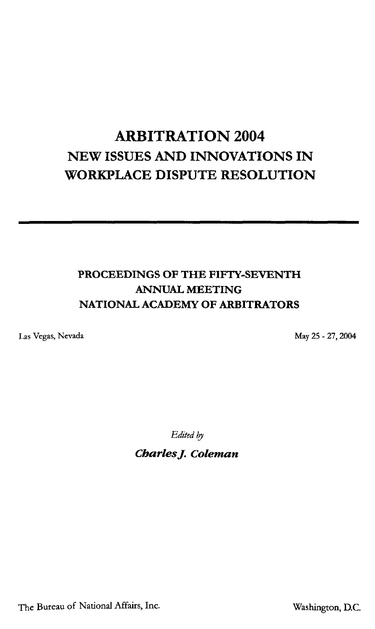# **ARBITRATION 2004 NEW ISSUES AND INNOVATIONS IN WORKPLACE DISPUTE RESOLUTION**

## **PROCEEDINGS OF THE FIFTY-SEVENTH ANNUAL MEETING NATIONAL ACADEMY OF ARBITRATORS**

Las Vegas, Nevada

May 25 - 27, 2004

*Edited by* 

*CharlesJ. Coleman* 

The Bureau of National Affairs, Inc.

Washington, D.C.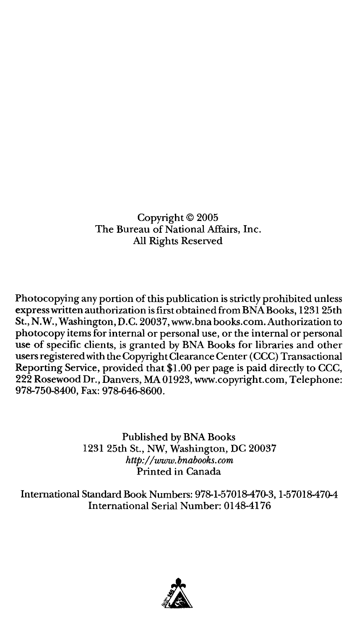Copyright© 2005 The Bureau of National Affairs, Inc. All Rights Reserved

Photocopying any portion of this publication is strictly prohibited unless express written authorization is first obtained from BNA Books, 1231 25th St., **N.W.,** Washington, D.C. 20037,www.bnabooks.com. Authorization to photocopy items for internal or personal use, or the internal or personal use of specific clients, is granted by BNA Books for libraries and other users registered with the Copyright Clearance Center (CCC) Transactional Reporting Service, provided that \$1.00 per page is paid directly to CCC, 222 Rosewood Dr., Danvers, MA 01923, www.copyright.com, Telephone: 978-750-8400, Fax: 978-646-8600.

> Published by BNA Books 1231 25th St., NW, Washington, DC 20037 *http:/ /www.bnabooks.com*  Printed in Canada

International Standard Book Numbers: 978-1-57018-470-3, 1-57018-470-4 International Serial Number: 0148-4176

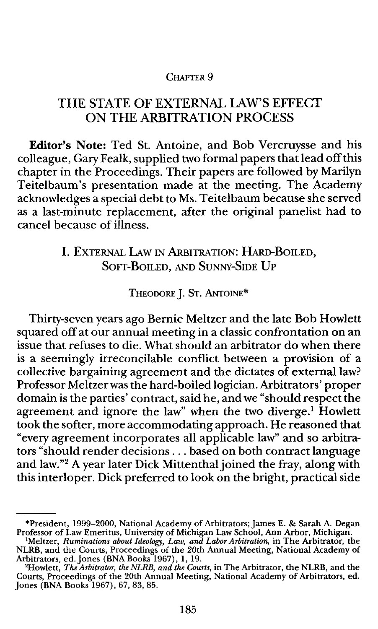#### CHAPTER 9

### THE STATE OF EXTERNAL LAW'S EFFECT ON THE ARBITRATION PROCESS

**Editor's Note:** Ted St. Antoine, and Bob Vercruysse and his colleague, Gary Fealk, supplied two formal papers that lead off this chapter in the Proceedings. Their papers are followed by Marilyn Teitelbaum's presentation made at the meeting. The Academy acknowledges a special debt to Ms. Teitelbaum because she served as a last-minute replacement, after the original panelist had to cancel because of illness.

# I. EXTERNAL LAW IN ARBITRATION: HARD-BOILED, SOFT-BOILED, AND SUNNY-SIDE UP

THEODORE]. ST. ANTOINE\*

Thirty-seven years ago Bernie Meltzer and the late Bob Howlett squared off at our annual meeting in a classic confrontation on an issue that refuses to die. What should an arbitrator do when there is a seemingly irreconcilable conflict between a provision of a collective bargaining agreement and the dictates of external law? Professor Meltzer was the hard-boiled logician. Arbitrators' proper domain is the parties' contract, said he, and we "should respect the agreement and ignore the law" when the two diverge.<sup>1</sup> Howlett took the softer, more accommodating approach. He reasoned that "every agreement incorporates all applicable law" and so arbitrators "should render decisions ... based on both contract language and law."<sup>2</sup> A year later Dick Mittenthal joined the fray, along with this interloper. Dick preferred to look on the bright, practical side

<sup>\*</sup>President, 1999–2000, National Academy of Arbitrators; James E. & Sarah A. Degan<br>Professor of Law Emeritus, University of Michigan Law School, Ann Arbor, Michigan.<br><sup>1</sup>Meltzer, *Ruminations about Ideology, Law, and Labor A* 

NLRB, and the Courts, Proceedings of the 20th Annual Meeting, National Academy of Arbitrators, ed.Jones (BNABooks 1967), 1, 19. 'Howlett, *The Arbitrator, the NLRB, and the Courts,* in The Arbitrator, the **NLRB,** and the

Courts, Proceedings of the 20th Annual Meeting, National Academy of Arbitrators, ed. Jones (BNA Books 1967), 67, 83, 85.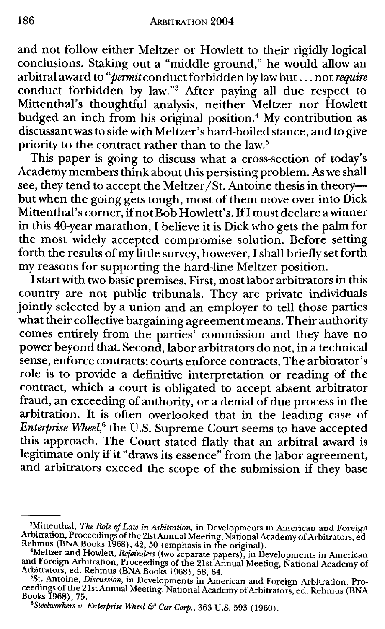and not follow either Meltzer or Howlett to their rigidly logical conclusions. Staking out a "middle ground," he would allow an arbitral award to *"permit* conduct forbidden by law but ... not *require*  conduct forbidden by law."3 After paying all due respect to Mittenthal's thoughtful analysis, neither Meltzer nor Howlett budged an inch from his original position.<sup>4</sup> My contribution as discussant was to side with Meltzer' shard-boiled stance, and to give priority to the contract rather than to the law.<sup>5</sup>

This paper is going to discuss what a cross-section of today's Academy members think about this persisting problem. As we shall see, they tend to accept the Meltzer/St. Antoine thesis in theorybut when the going gets tough, most of them move over into Dick Mittenthal's corner, if not Bob Howlett's. If I must declare a winner in this 40-year marathon, I believe it is Dick who gets the palm for the most widely accepted compromise solution. Before setting forth the results of my little survey, however, I shall briefly set forth my reasons for supporting the hard-line Meltzer position.

I start with two basic premises. First, most labor arbitrators in this country are not public tribunals. They are private individuals jointly selected by a union and an employer to tell those parties what their collective bargaining agreement means. Their authority comes entirely from the parties' commission and they have no power beyond that. Second, labor arbitrators do not, in a technical sense, enforce contracts; courts enforce contracts. The arbitrator's role is to provide a definitive interpretation or reading of the contract, which a court is obligated to accept absent arbitrator fraud, an exceeding of authority, or a denial of due process in the arbitration. It is often overlooked that in the leading case of *Enterprise Wheel*,<sup>6</sup> the U.S. Supreme Court seems to have accepted this approach. The Court stated flatly that an arbitral award is legitimate only if it "draws its essence" from the labor agreement, and arbitrators exceed the scope of the submission if they base

<sup>&</sup>lt;sup>3</sup>Mittenthal, *The Role of Law in Arbitration*, in Developments in American and Foreign Arbitration, Proceedings of the 21st Annual Meeting, National Academy of Arbitrators, ed.

Rehmus (BNA Books 1968), 42, 50 (emphasis in the original).<br>
"Meltzer and Howlett, *Rejoinders* (two separate papers), in Developments in American<br>
and Foreign Arbitration, Proceedings of the 21st Annual Meeting, National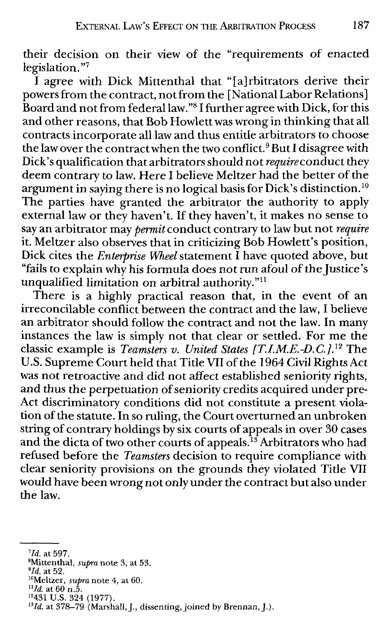their decision on their view of the "requirements of enacted legislation. "<sup>7</sup>

I agree with Dick Mittenthal that "[a]rbitrators derive their powers from the contract, not from the [National Labor Relations] Board and not from federal law. "8 I further agree with **Dick,** for this and other reasons, that Bob Howlett was wrong in thinking that all contracts incorporate all law and thus entitle arbitrators to choose the law over the contract when the two conflict.<sup>9</sup> But I disagree with Dick's qualification that arbitrators should not *require* conduct they deem contrary to law. Here I believe Meltzer had the better of the argument in saying there is no logical basis for Dick's distinction. <sup>10</sup> The parties have granted the arbitrator the authority to apply external law or they haven't. If they haven't, it makes no sense to say an arbitrator may *permit* conduct contrary to law but not *require*  it. Meltzer also observes that in criticizing Bob Howlett's position, **Dick** cites the *Enterprise Wheel* statement I have quoted above, but "fails to explain why his formula does not run afoul of the Justice's unqualified limitation on arbitral authority."<sup>11</sup>

There is a highly practical reason that, in the event of an irreconcilable conflict between the contract and the law, I believe an arbitrator should follow the contract and not the law. In many instances the law is simply not that clear or settled. For me the classic example is *Teamsters v. United States [T.I.M.E.-D.C.]*.<sup>12</sup> The U.S. Supreme Court held that Title VII of the 1964 Civil Rights Act was not retroactive and did not affect established seniority rights, and thus the perpetuation of seniority credits acquired under pre-Act discriminatory conditions did not constitute a present violation of the statute. In so ruling, the Court overturned an unbroken string of contrary holdings by six courts of appeals in over 30 cases and the dicta of two other courts of appeals.<sup>13</sup> Arbitrators who had refused before the *Teamsters* decision to require compliance with clear seniority provisions on the grounds they violated Title VII would have been wrong not only under the contract but also under the law.

*<sup>&</sup>lt;sup>7</sup>Id.* at 597.<br><sup>8</sup>Mittenthol

<sup>&</sup>lt;sup>8</sup>Mittenthal, *supra* note 3, at 53.<br><sup>9</sup>Id. at 52.

<sup>&</sup>lt;sup>10</sup>Meltzer, *supra* note 4, at 60.<br><sup>11</sup>*Id.* at 60 n.5.

<sup>&</sup>lt;sup>12</sup>431 U.S. 324 (1977).<br><sup>13</sup>*Id.* at 378–79 (Marshall, J., dissenting, joined by Brennan, J.).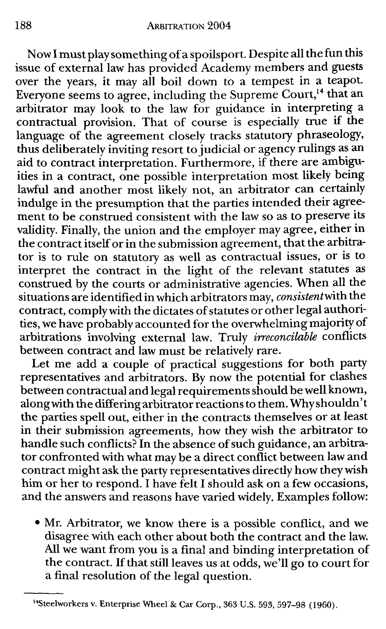Now I must play something of a spoilsport. Despite all the fun this issue of external law has provided Academy members and guests over the years, it may all boil down to a tempest in a teapot. Everyone seems to agree, including the Supreme  $\mathrm{Count,^{14}}$  that an arbitrator may look to the law for guidance in interpreting a contractual provision. That of course is especially true if the language of the agreement closely tracks statutory phraseology, thus deliberately inviting resort to judicial or agency rulings as an aid to contract interpretation. Furthermore, if there are ambiguities in a contract, one possible interpretation most likely being lawful and another most likely not, an arbitrator can certainly indulge in the presumption that the parties intended their agreement to be construed consistent with the law so as to preserve its validity. Finally, the union and the employer may agree, either in the contract itself or in the submission agreement, that the arbitrator is to rule on statutory as well as contractual issues, or is to interpret the contract in the light of the relevant statutes as construed by the courts or administrative agencies. When all the situations are identified in which arbitrators may, *consistentwith* the contract, comply with the dictates of statutes or other legal authorities, we have probably accounted for the overwhelming majority of arbitrations involving external law. Truly *irreconcilabk* conflicts between contract and law must be relatively rare.

Let me add a couple of practical suggestions for both party representatives and arbitrators. By now the potential for clashes between contractual and legal requirements should be well known, alongwith the differing arbitrator reactions to them. Why shouldn't the parties spell out, either in the contracts themselves or at least in their submission agreements, how they wish the arbitrator to handle such conflicts? In the absence of such guidance, an arbitrator confronted with what may be a direct conflict between law and contract might ask the party representatives directly how they wish him or her to respond. I have felt I should ask on a few occasions, and the answers and reasons have varied widely. Examples follow:

• Mr. Arbitrator, we know there is a possible conflict, and we disagree with each other about both the contract and the law. All we want from you is a final and binding interpretation of the contract. If that still leaves us at odds, we'll go to court for a final resolution of the legal question.

<sup>&</sup>lt;sup>14</sup>Steelworkers v. Enterprise Wheel & Car Corp., 363 U.S. 593, 597-98 (1960).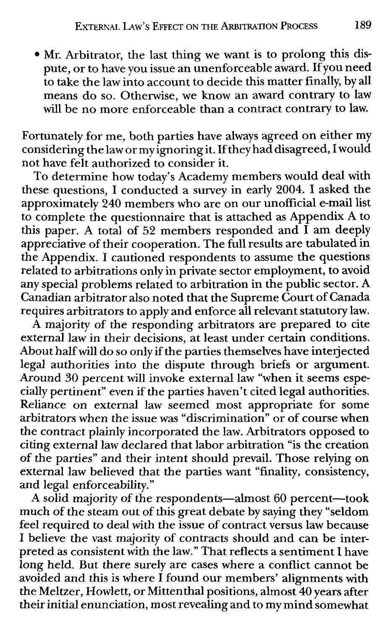• Mr. Arbitrator, the last thing we want is to prolong this dispute, or to have you issue an unenforceable award. If you need to take the law into account to decide this matter finally, by all means do so. Otherwise, we know an award contrary to law will be no more enforceable than a contract contrary to law.

Fortunately for me, both parties have always agreed on either my considering the law or my ignoring it. If they had disagreed, I would not have felt authorized to consider it.

To determine how today's Academy members would deal with these questions, I conducted a survey in early 2004. I asked the approximately 240 members who are on our unofficial e-mail list to complete the questionnaire that is attached as Appendix A to this paper. A total of 52 members responded and I am deeply appreciative of their cooperation. The full results are tabulated in the Appendix. I cautioned respondents to assume the questions related to arbitrations only in private sector employment, to avoid any special problems related to arbitration in the public sector. A Canadian arbitrator also noted that the Supreme Court of Canada requires arbitrators to apply and enforce all relevant statutory law.

A majority of the responding arbitrators are prepared to cite external law in their decisions, at least under certain conditions. About half will do so only if the parties themselves have interjected legal authorities into the dispute through briefs or argument. Around 30 percent will invoke external law "when it seems especially pertinent" even if the parties haven't cited legal authorities. Reliance on external law seemed most appropriate for some arbitrators when the issue was "discrimination" or of course when the contract plainly incorporated the law. Arbitrators opposed to citing external law declared that labor arbitration "is the creation of the parties" and their intent should prevail. Those relying on external law believed that the parties want "finality, consistency, and legal enforceability."

A solid majority of the respondents-almost 60 percent-took much of the steam out of this great debate by saying they "seldom feel required to deal with the issue of contract versus law because I believe the vast majority of contracts should and can be interpreted as consistent with the law." That reflects a sentiment I have long held. But there surely are cases where a conflict cannot be avoided and this is where I found our members' alignments with the Meltzer, Howlett, or Mittenthal positions, almost 40 years after their initial enunciation, most revealing and to my mind somewhat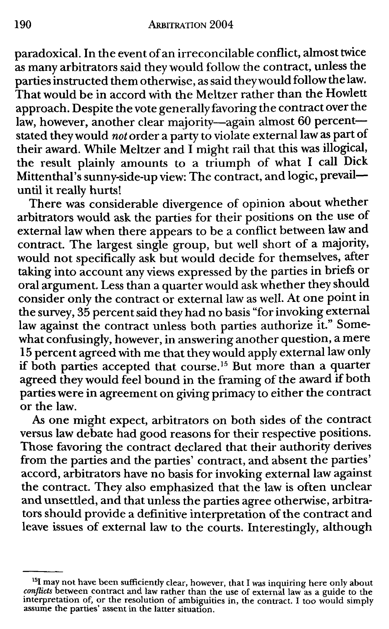paradoxical. In the event of an irreconcilable conflict, almost twice as many arbitrators said they would follow the contract, unless the parties instructed them otherwise, as said they would follow the law. That would be in accord with the Meltzer rather than the Howlett approach. Despite the vote generally favoring the contract over the law, however, another clear majority-again almost 60 percentstated they would *not* order a party to violate external law as part of their award. While Meltzer and I might rail that this was illogical, the result plainly amounts to a triumph of what I call Dick Mittenthal's sunny-side-up view: The contract, and logic, prevailuntil it really hurts!

There was considerable divergence of opinion about whether arbitrators would ask the parties for their positions on the use of external law when there appears to be a conflict between law and contract. The largest single group, but well short of a majority, would not specifically ask but would decide for themselves, after taking into account any views expressed by the parties in briefs or oral argument. Less than a quarter would ask whether they should consider only the contract or external law as well. At one point in the survey, 35 percent said they had no basis "for invoking external law against the contract unless both parties authorize it." Some**what** confusingly, however, in answering another question, a mere 15 percent agreed with me that they would apply external law only if both parties accepted that course. 15 But more than a quarter agreed they would feel bound in the framing of the award if both parties were in agreement on giving primacy to either the contract or the law.

As one might expect, arbitrators on both sides of the contract versus law debate had good reasons for their respective positions. Those favoring the contract declared that their authority derives from the parties and the parties' contract, and absent the parties' accord, arbitrators have no basis for invoking external law against the contract. They also emphasized that the law is often unclear and unsettled, and that unless the parties agree otherwise, arbitrators should provide a definitive interpretation of the contract and leave issues of external law to the courts. Interestingly, although

<sup>&</sup>lt;sup>15</sup>I may not have been sufficiently clear, however, that I was inquiring here only about *conflicts* between contract and law rather than the use of external law as a guide to the interpretation of, or the resolution of ambiguities in, the contract. I too would simply assume the parties' assent in the latter situation.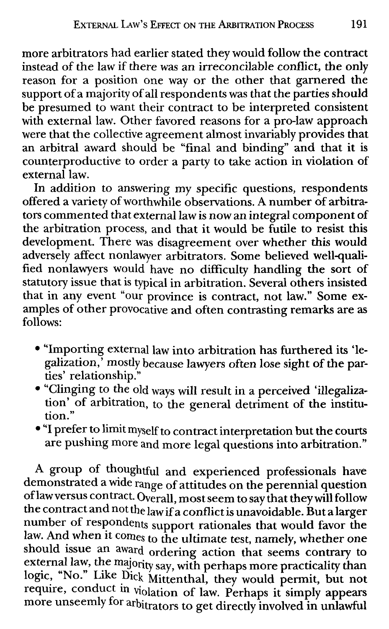more arbitrators had earlier stated they would follow the contract instead of the law if there was an irreconcilable conflict, the only reason for a position one way or the other that garnered the support of a majority of all respondents was that the parties should be presumed to want their contract to be interpreted consistent with external law. Other favored reasons for a pro-law approach were that the collective agreement almost invariably provides that an arbitral award should be "final and binding" and that it is counterproductive to order a party to take action in violation of external law.

In addition to answering my specific questions, respondents offered a variety of worthwhile observations. A number of arbitrators commented that external law is now an integral component of the arbitration process, and that it would be futile to resist this development. There was disagreement over whether this would adversely affect nonlawyer arbitrators. Some believed well-qualified nonlawyers would have no difficulty handling the sort of statutory issue that is typical in arbitration. Several others insisted that in any event "our province is contract, not law." Some examples of other provocative and often contrasting remarks are as follows:

- "Importing external law into arbitration has furthered its 'legalization,' mostly because lawyers often lose sight of the parties' relationship."
- "Clinging to the old ways will result in a perceived 'illegalization' of arbitration, to the general detriment of the institution."
- "I prefer to limit myself to contract interpretation but the courts are pushing more and more legal questions into arbitration."

A group of thoughtful and experienced professionals have demonstrated a wide range of attitudes on the perennial question oflawversus contract. Overall, most seem to say that they will follow the contract and not the law if a conflict is unavoidable. But a larger number of respondents support rationales that would favor the law. And when it comes to the ultimate test, namely, whether one should issue an award ordering action that seems contrary to external law, the majority say, with perhaps more practicality than logic, "No." Like Dick Mittenthal, they would permit, but not require, conduct in violation of law. Perhaps it simply appears more unseemly for arbitrators to get directly involved in unlawful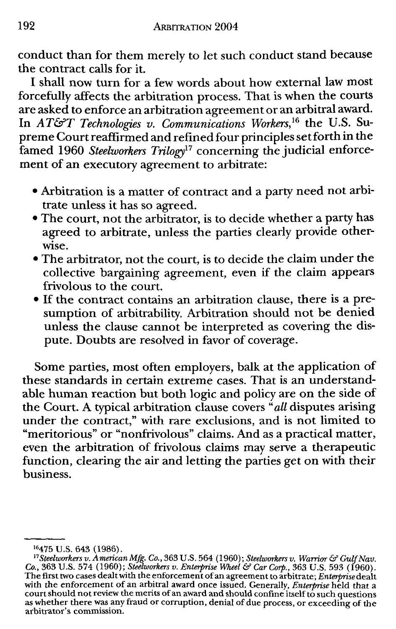**conduct than for them** merely to let such conduct **stand because the contract calls** for it.

I **shall now turn for** a few **words** about how **external law most forcefully** affects **the arbitration** process. That is **when the courts are asked to enforce an arbitration** agreement or **an arbitral award.**  In *AT&T Technologies v. Communications Workers*,<sup>16</sup> the U.S. Su**preme Court reaffirmed and refined four principles set forth in the famed 1960** *Steelworkers Trilogy17* concerning **the judicial enforcement** of **an executory** agreement to arbitrate:

- **Arbitration is** a matter of contract and a party **need not arbi**trate **unless it** has so agreed.
- **The court, not the** arbitrator, is to decide **whether** a **party has agreed** to arbitrate, unless the parties clearly **provide other**wise.
- The arbitrator, not the court, is to decide the **claim under the**  collective bargaining agreement, even if **the claim appears frivolous** to the court.
- If the contract contains an arbitration clause, **there is** a **presumption** of arbitrability. Arbitration should **not be denied unless the clause** cannot be interpreted as covering **the dispute. Doubts** are **resolved in** favor of coverage.

**Some parties, most** often employers, balk at the **application** of **these standards in certain extreme** cases. **That is an understandable human reaction but both logic and** policy are **on the side** of **the Court. A typical arbitration clause** covers *"all* **disputes arising under the** contract," with rare **exclusions, and** is **not limited** to **"meritorious" or "nonfrivolous" claims. And** as a **practical matter, even the arbitration** of **frivolous claims** may **serve a therapeutic function,** clearing the air **and letting the** parties get **on with their business.** 

<sup>&</sup>lt;sup>16</sup>475 U.S. 643 (1986).<br><sup>17</sup>Steelworkers v. American Mfg. Co., 363 U.S. 564 (1960); Steelworkers v. Warrior & Gulf Nav.<br>Co., 363 U.S. 574 (1960); Steelworkers v. Enterprise Wheel & Car Corp., 363 U.S. 593 (1960). The first two cases dealt with the enforcement of an agreement to arbitrate; *Enterprise* dealt with the enforcement of an arbitral award once issued. Generally, *Enterprise* held that a court should not review the merits of an award and should confine itself to such questions as whether there was any fraud or corruption, denial of due process, or exceeding of the arbitrator's commission.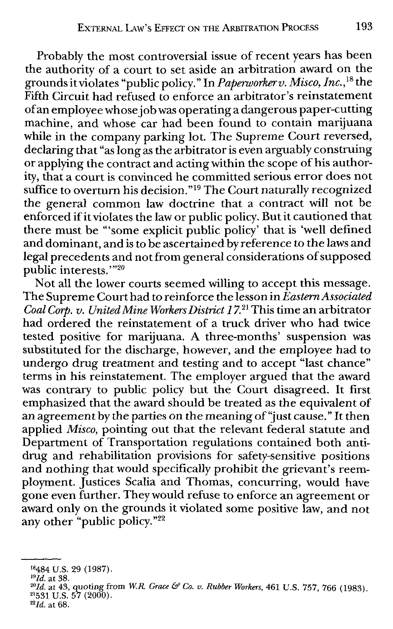Probably the most controversial issue of recent years has been the authority of a court to set aside an arbitration award on the grounds it violates "public policy." In *Paperworkerv. Misco, Inc.,* 18 the Fifth Circuit had refused to enforce an arbitrator's reinstatement of an employee whose job was operating a dangerous paper-cutting machine, and whose car had been found to contain marijuana while in the company parking lot. The Supreme Court reversed, declaring that "as long as the arbitrator is even arguably construing or applying the contract and acting within the scope of his authority, that a court is convinced he committed serious error does not suffice to overturn his decision. "19 The Court naturally recognized the general common law doctrine that a contract will not be enforced if it violates the law or public policy. But it cautioned that there must be '"some explicit public policy' that is 'well defined and dominant, and is to be ascertained by reference to the laws and legal precedents and not from general considerations of supposed public interests."<sup>20</sup>

Not all the lower courts seemed willing to accept this message. The Supreme Court had to reinforce the lesson in *Eastern Associated Coal Corp. v. United Mine Workers District 17.* 21 This time an arbitrator had ordered the reinstatement of a truck driver who had twice tested positive for marijuana. A three-months' suspension was substituted for the discharge, however, and the employee had to undergo drug treatment and testing and to accept "last chance" terms in his reinstatement. The employer argued that the award was contrary to public policy but the Court disagreed. It first emphasized that the award should be treated as the equivalent of an agreement by the parties on the meaning of "just cause." It then applied *Misco,* pointing out that the relevant federal statute and Department of Transportation regulations contained both antidrug and rehabilitation provisions for safety-sensitive positions and nothing that would specifically prohibit the grievant's reemployment. Justices Scalia and Thomas, concurring, would have gone even further. They would refuse to enforce an agreement or award only on the grounds it violated some positive law, and not any other "public policy. "22

<sup>&</sup>lt;sup>18</sup>484 U.S. 29 (1987).<br><sup>19</sup>*Id.* at 38. 2001 at 43, quoting from *W.R. Grace & Co. v. Rubber Workers*, <sup>461</sup> U.S. 757, 766 (1983). <sup>21</sup>*531* U.S. 57 (2000).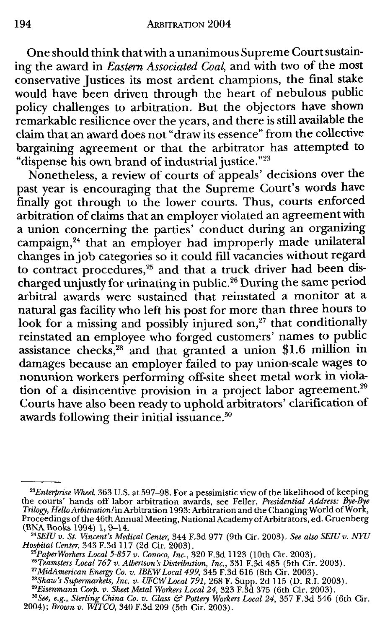One should think that with a unanimous Supreme Court sustaining the award in *Eastern Associated Coal,* and with two of the most conservative Justices its most ardent champions, the final stake would have been driven through the heart of nebulous public policy challenges to arbitration. But the objectors have shown remarkable resilience over the years, and there is still available the claim that an award does not "draw its essence" from the collective bargaining agreement or that the arbitrator has attempted to "dispense his own brand of industrial justice."<sup>23</sup>

Nonetheless, a review of courts of appeals' decisions over the past year is encouraging that the Supreme Court's words have finally got through to the lower courts. Thus, courts enforced arbitration of claims that an employer violated an agreement with a union concerning the parties' conduct during an organizing campaign,<sup>24</sup> that an employer had improperly made unilateral changes in job categories so it could fill vacancies without regard to contract procedures,<sup>25</sup> and that a truck driver had been discharged unjustly for urinating in public.<sup>26</sup> During the same period arbitral awards were sustained that reinstated a monitor at a natural gas facility who left his post for more than three hours to look for a missing and possibly injured son,<sup>27</sup> that conditionally reinstated an employee who forged customers' names to public assistance checks,<sup>28</sup> and that granted a union \$1.6 million in damages because an employer failed to pay union-scale wages to nonunion workers performing off-site sheet metal work in violation of a disincentive provision in a project labor agreement.<sup>29</sup> Courts have also been ready to uphold arbitrators' clarification of awards following their initial issuance.30

<sup>23</sup>*Enterprise Wheel,* 363 U.S. at 597-98. For a pessimistic view of the likelihood of keeping the courts' hands off labor arbitration awards, see Feller, *Presidential Address: Bye-Bye Trilogy, HelloArbitration!in* Arbitration 1993: Arbitration and the Changing World ofWork, Proceedings of the 46th Annual Meeting, National Academy of Arbitrators, ed. Gruenberg (BNA Books 1994) 1, 9-14.

<sup>24</sup>*SEIU v. St. Vincent's Medical Center,* 344 F.3d 977 (9th Cir. 2003). *See also SEIU v. NYU* 

<sup>&</sup>lt;sup>25</sup> PaperWorkers Local 5-857 v. Conoco, Inc., 320 F.3d 1123 (10th Cir. 2003).<br><sup>26</sup> Teamsters Local 767 v. Albertson's Distribution, Inc., 331 F.3d 485 (5th Cir. 2003).<br><sup>27</sup> MidAmerican Energy Co. v. IBEW Local 499, 345 F.

<sup>&</sup>lt;sup>28</sup>Shaw's Supermarkets, Inc. v. UFCW Local 791, 268 F. Supp. 2d 115 (D. R.I. 2003).<br><sup>29</sup>Eisenmann Corp. v. Sheet Metal Workers Local 24, 323 F.3d 375 (6th Cir. 2003).

*<sup>&#</sup>x27;°See, e.g., Sterling China Co. v. Glass* & *Pottery Workers Local 24,* 357 F.3d 546 (6th Cir. 2004); *Brown v. WITCO,* 340 F.3d 209 (5th Cir. 2003).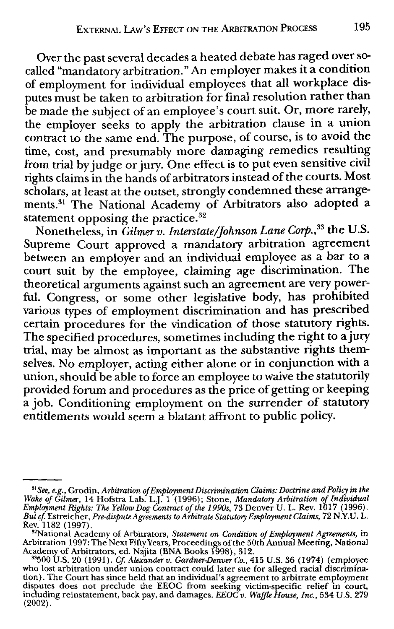Over the past several decades a heated debate has raged over socalled "mandatory arbitration." An employer makes it a condition of employment for individual employees that all workplace disputes must be taken to arbitration for final resolution rather than be made the subject of an employee's court suit. Or, more rarely, the employer seeks to apply the arbitration clause in a union contract to the same end. The purpose, of course, is to avoid the time, cost, and presumably more damaging remedies resulting from trial by judge or jury. One effect is to put even sensitive civil rights claims in the hands of arbitrators instead of the courts. Most scholars, at least at the outset, strongly condemned these arrangements. 31 The National Academy of Arbitrators also adopted a statement opposing the practice. $^{32}$ 

Nonetheless, in *Gilmerv. Interstate/Johnson Lane Corp.*,<sup>33</sup> the U.S. Supreme Court approved a mandatory arbitration agreement between an employer and an individual employee as a bar to a court suit by the employee, claiming age discrimination. The theoretical arguments against such an agreement are very powerful. Congress, or some other legislative body, has prohibited various types of employment discrimination and has prescribed certain procedures for the vindication of those statutory rights. The specified procedures, sometimes including the right to a jury trial, may be almost as important as the substantive rights themselves. No employer, acting either alone or in conjunction with a union, should be able to force an employee to waive the statutorily provided forum and procedures as the price of getting or keeping a job. Conditioning employment on the surrender of statutory entitlements would seem a blatant affront to public policy.

<sup>&</sup>lt;sup>91</sup> See, e.g., Grodin, Arbitration of Employment Discrimination Claims: Doctrine and Policy in the<br>Wake of Gilmer, 14 Hofstra Lab. L.J. 1 (1996); Stone, Mandatory Arbitration of Individual<br>Employment Rights: The Yellow Do Rev. 1182 (1997).

<sup>&</sup>lt;sup>32</sup>National Academy of Arbitrators, *Statement on Condition of Employment Agreements*, in<br>Arbitration 1997: The Next Fifty Years, Proceedings of the 50th Annual Meeting, National<br>Academy of Arbitrators, ed. Najita (BNA Bo

who lost arbitration under union contract could later sue for alleged racial discrimination). The Court has since held that an individual's agreement to arbitrate employment<br>disputes does not preclude the EEOC from seeking victim-specific relief in court,<br>including reinstatement, back pay, and damages. *EEOC*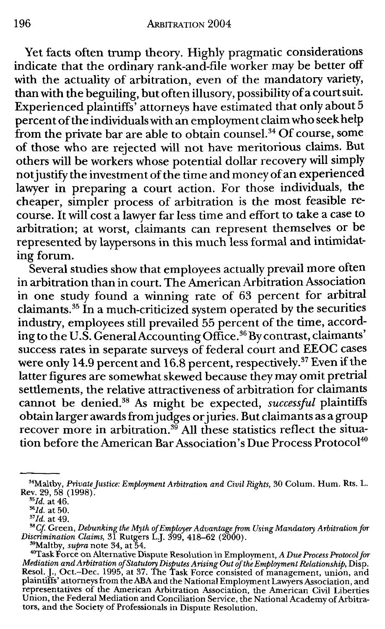Yet facts often trump theory. Highly pragmatic considerations indicate that the ordinary rank-and-file worker may be better off with the actuality of arbitration, even of the mandatory variety, than with the beguiling, but often illusory, possibility of a court suit. Experienced plaintiffs' attorneys have estimated that only about 5 percent of the individuals with an employment claim who seek help from the private bar are able to obtain counsel.<sup>34</sup> Of course, some of those who are rejected will not have meritorious claims. But others will be workers whose potential dollar recovery will simply not justify the investment of the time and money of an experienced lawyer in preparing a court action. For those individuals, the cheaper, simpler process of arbitration is the most feasible recourse. It will cost a lawyer far less time and effort to take a case to arbitration; at worst, claimants can represent themselves or be represented by laypersons in this much less formal and intimidating forum.

Several studies show that employees actually prevail more often in arbitration than in court. The American Arbitration Association in one study found a winning rate of 63 percent for arbitral claimants.<sup>35</sup> In a much-criticized system operated by the securities industry, employees still prevailed 55 percent of the time, according to the U.S. Genera1AccountingOffice.36Bycontrast, claimants' success rates in separate surveys of federal court and EEOC cases were only 14.9 percent and 16.8 percent, respectively. 37 Even if the latter figures are somewhat skewed because they may omit pretrial settlements, the relative attractiveness of arbitration for claimants cannot be denied.38 As might be expected, *successful* plaintiffs obtain larger awards from judges or juries. But claimants as a group recover more in arbitration. $^{39}$  All these statistics reflect the situation before the American Bar Association's Due Process Protocol<sup>40</sup>

<sup>34</sup>Maltby, *Private justice: Employment Arbitration and Civil Rights,* 30 Colum. Hum. Rts. L. Rev. 29, 58 (1998).

*<sup>&#</sup>x27;5 Id.* at 46.

<sup>&</sup>lt;sup>36</sup>Id. at 50.

 $37$ *Id.* at 49.

<sup>&</sup>lt;sup>38</sup>Cf. Green, *Debunking the Myth of Employer Advantage from Using Mandatory Arbitration for*<br>Discrimination Claims, 31 Rutgers L.J. 399, 418–62 (2000).<br><sup>39</sup>Maltby, *supra* note 34, at 54.

<sup>&</sup>lt;sup>40</sup>Task Force on Alternative Dispute Resolution in Employment, *A Due Process Protocol for*<br>*Mediation and Arbitration of Statutory Disputes Arising Out of the Employment Relationship*, Disp.<br>Resol. J., Oct.–Dec. 1995, at plaintiffs' attorneys from the ABA and the National Employment Lawyers Association, and representatives of the American Arbitration Association, the American Civil Liberties Union, the Federal Mediation and Conciliation Service, the National Academy of Arbitrators, and the Society of Professionals in Dispute Resolution.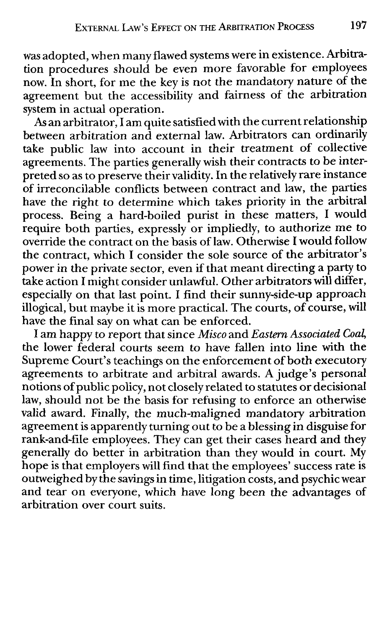was adopted, when many flawed systems were in existence. Arbitration procedures should be even more favorable for employees now. In short, for me the key is not the mandatory nature of the agreement but the accessibility and fairness of the arbitration system in actual operation.

As an arbitrator, I am quite satisfied with the current relationship between arbitration and external law. Arbitrators can ordinarily take public law into account in their treatment of collective agreements. The parties generally wish their contracts to be interpreted so as to preserve their validity. In the relatively rare instance of irreconcilable conflicts between contract and law, the parties have the right to determine which takes priority in the arbitral process. Being a hard-boiled purist in these matters, I would require both parties, expressly or impliedly, to authorize me to override the contract on the basis of law. Otherwise I would follow the contract, which I consider the sole source of the arbitrator's power in the private sector, even if that meant directing a party to take action I might consider unlawful. Other arbitrators will differ, especially on that last point. I find their sunny-side-up approach illogical, but maybe it is more practical. The courts, of course, will have the final say on what can be enforced.

I am happy to report that since *Misco* and *Eastern Associated Coal,* the lower federal courts seem to have fallen into line with the Supreme Court's teachings on the enforcement of both executory agreements to arbitrate and arbitral awards. A judge's personal notions of public policy, not closely related to statutes or decisional law, should not be the basis for refusing to enforce an otherwise valid award. Finally, the much-maligned mandatory arbitration agreement is apparently turning out to be a blessing in disguise for rank-and-file employees. They can get their cases heard and they generally do better in arbitration than they would in court. My hope is that employers will find that the employees' success rate is outweighed by the savings in time, litigation costs, and psychic wear and tear on everyone, which have long been the advantages of arbitration over court suits.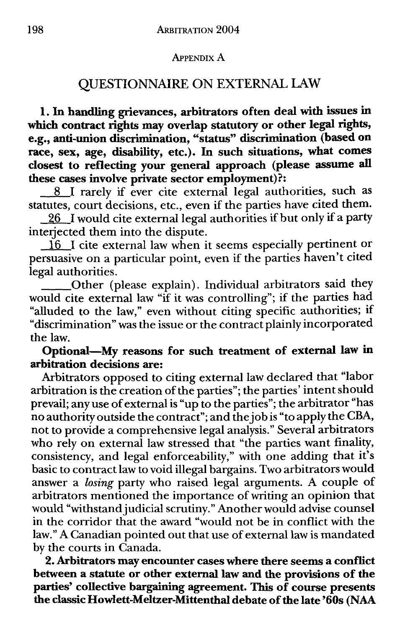#### APPENDIX A

# QUESTIONNAIRE ON EXTERNAL LAW

**1.** In **handling grievances, arbitrators often deal with issues** in **which contract rights may overlap statutory or other legal rights, e.g., anti-union discrimination, "status" discrimination (based on race, sex, age, disability, etc.).** In **such situations, what comes closest to reflecting your general approach (please assume all these cases involve private sector employment)?:** 

\_8\_1 rarely if ever cite external legal authorities, such as statutes, court decisions, etc., even if the parties have cited them.

 $\underline{26}$  I would cite external legal authorities if but only if a party interjected them into the dispute.

 $\overline{16}$  I cite external law when it seems especially pertinent or persuasive on a particular point, even if the parties haven't cited legal authorities.

\_\_ Other (please explain). Individual arbitrators said they would cite external law "if it was controlling"; if the parties had "alluded to the law," even without citing specific authorities; if "discrimination" was the issue or the contract plainly incorporated the law.

### **Optional-My reasons for such treatment of external law** in **arbitration decisions are:**

Arbitrators opposed to citing external law declared that "labor arbitration is the creation of the parties"; the parties' intent should prevail; any use of external is "up to the parties"; the arbitrator "has no authority outside the contract"; and the job is "to apply the CBA, not to provide a comprehensive legal analysis." Several arbitrators who rely on external law stressed that "the parties want finality, consistency, and legal enforceability," with one adding that it's basic to contract law to void illegal bargains. Two arbitrators would answer a *losing* party who raised legal arguments. A couple of arbitrators mentioned the importance of writing an opinion that would "withstand judicial scrutiny." Another would advise counsel in the corridor that the award "would not be in conflict with the law." A Canadian pointed out that use of external law is mandated by the courts in Canada.

**2. Arbitrators may encounter cases where there seems a conflict between a statute or other external law and the provisions of the parties' collective bargaining agreement. This of course presents the classic Howlett-Meltzer-Mittenthal debate of the late '60s (NAA**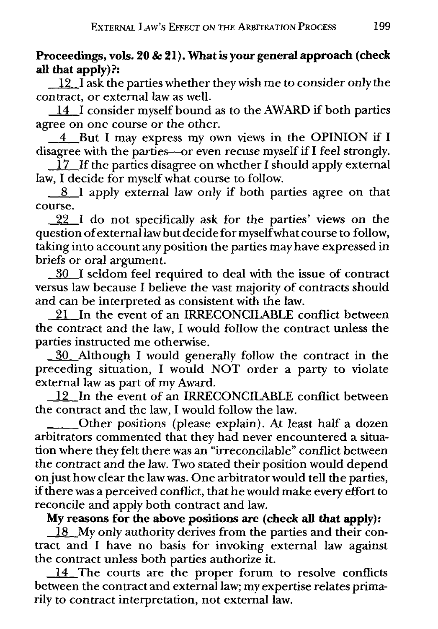**Proceedings, vols. 20 & 21). What is your general approach (check all that apply)?:** 

 $\frac{12}{1}$  ask the parties whether they wish me to consider only the contract, or external law as well.

 $\boxed{14}$  I consider myself bound as to the AWARD if both parties agree on one course or the other.

\_4\_But I may express my own views in the **OPINION** if I disagree with the parties-or even recuse myself if I feel strongly.

 $17$  If the parties disagree on whether I should apply external law, I decide for myself what course to follow.

8<sup>1</sup> I apply external law only if both parties agree on that course.

 $\frac{22}{1}$  do not specifically ask for the parties' views on the question of external law but decide for myself what course to follow, taking into account any position the parties may have expressed in briefs or oral argument.

130 I seldom feel required to deal with the issue of contract versus law because I believe the vast majority of contracts should and can be interpreted as consistent with the law.

21 In the event of an IRRECONCILABLE conflict between the contract and the law, I would follow the contract unless the parties instructed me otherwise.

\_fill\_Although I would generally follow the contract in the preceding situation, I would NOT order a party to violate external law as part of my Award.

12 In the event of an IRRECONCILABLE conflict between the contract and the law, I would follow the law.

\_\_ Other positions (please explain). At least half a dozen arbitrators commented that they had never encountered a situation where they felt there was an "irreconcilable" conflict between the contract and the law. Two stated their position would depend on just how clear the law was. One arbitrator would tell the parties, if there was a perceived conflict, that he would make every effort to reconcile and apply both contract and law.

**My reasons for the above positions are (check all that apply):** 

18 My only authority derives from the parties and their contract and I have no basis for invoking external law against the contract unless both parties authorize it.

14 The courts are the proper forum to resolve conflicts between the contract and external law; my expertise relates primarily to contract interpretation, not external law.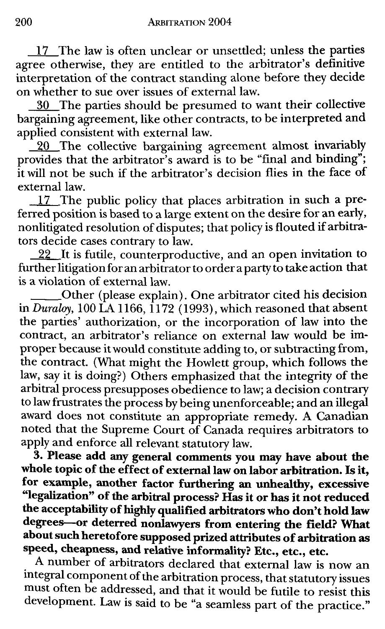17 The law is often unclear or unsettled; unless the parties agree otherwise, they are entitled to the arbitrator's definitive interpretation of the contract standing alone before they decide on whether to sue over issues of external law.

30 The parties should be presumed to want their collective bargaining agreement, like other contracts, to be interpreted and applied consistent with external law.

20 The collective bargaining agreement almost invariably provides that the arbitrator's award is to be "final and binding"; it will not be such if the arbitrator's decision flies in the face of external law.

 $\frac{17}{2}$ . The public policy that places arbitration in such a preferred position is based to a large extent on the desire for **an** early, nonlitigated resolution of disputes; that policy is flouted if arbitrators decide cases contrary to law.

22 It is futile, counterproductive, and an open invitation to further litigation for an arbitrator to order a party to take action that is a violation of external law.

\_\_ Other (please explain). One arbitrator cited his decision in *Duraloy,* 100 LA 1166, 1172 ( 1993), which reasoned that absent the parties' authorization, or the incorporation of law into the contract, an arbitrator's reliance on external law would be improper because it would constitute adding to, or subtracting from, the contract. (What might the Howlett group, which follows the law, say it is doing?) Others emphasized that the integrity of the arbitral process presupposes obedience to law; a decision contrary to law frustrates the process by being unenforceable; and an illegal award does not constitute an appropriate remedy. A Canadian noted that the Supreme Court of Canada requires arbitrators to apply and enforce all relevant statutory law.

**3. Please add any general comments you may have about the whole topic of the effect of external law on labor arbitration. Is it, for example, another factor furthering an unhealthy, excessive "legalization" of the arbitral process? Has it or has it not reduced the acceptability of highly qualified arbitrators who don't hold law degrees--or deterred nonlawyers from entering the field? What about such heretofore supposed prized attributes of arbitration as speed, cheapness, and relative informality? Etc., etc., etc.** 

A number of arbitrators declared that external law is now an integral component of the arbitration process, that statutory issues must often be addressed, and that it would be futile to resist this development. Law is said to be "a seamless part of the practice."